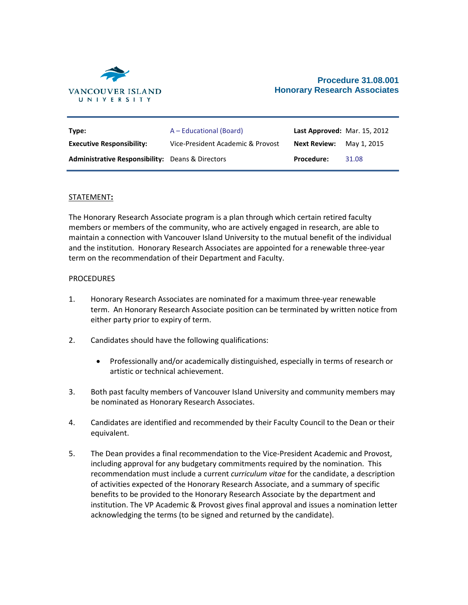

| Type:                                                   | A – Educational (Board)           | Last Approved: Mar. 15, 2012 |             |
|---------------------------------------------------------|-----------------------------------|------------------------------|-------------|
| <b>Executive Responsibility:</b>                        | Vice-President Academic & Provost | Next Review:                 | May 1, 2015 |
| <b>Administrative Responsibility:</b> Deans & Directors |                                   | <b>Procedure:</b>            | 31.08       |

## STATEMENT**:**

The Honorary Research Associate program is a plan through which certain retired faculty members or members of the community, who are actively engaged in research, are able to maintain a connection with Vancouver Island University to the mutual benefit of the individual and the institution. Honorary Research Associates are appointed for a renewable three-year term on the recommendation of their Department and Faculty.

## PROCEDURES

- 1. Honorary Research Associates are nominated for a maximum three-year renewable term. An Honorary Research Associate position can be terminated by written notice from either party prior to expiry of term.
- 2. Candidates should have the following qualifications:
	- Professionally and/or academically distinguished, especially in terms of research or artistic or technical achievement.
- 3. Both past faculty members of Vancouver Island University and community members may be nominated as Honorary Research Associates.
- 4. Candidates are identified and recommended by their Faculty Council to the Dean or their equivalent.
- 5. The Dean provides a final recommendation to the Vice-President Academic and Provost, including approval for any budgetary commitments required by the nomination. This recommendation must include a current *curriculum vitae* for the candidate, a description of activities expected of the Honorary Research Associate, and a summary of specific benefits to be provided to the Honorary Research Associate by the department and institution. The VP Academic & Provost gives final approval and issues a nomination letter acknowledging the terms (to be signed and returned by the candidate).